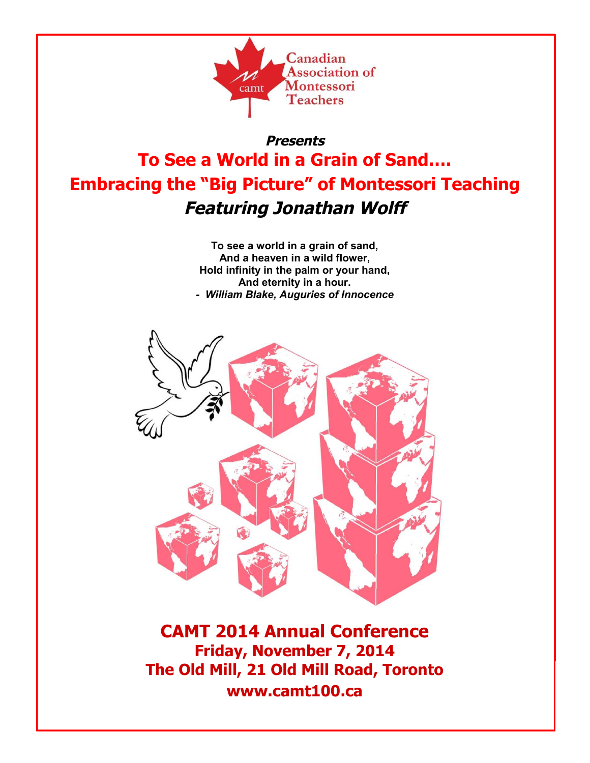

# **Presents To See a World in a Grain of Sand…. Embracing the "Big Picture" of Montessori Teaching Featuring Jonathan Wolff**

**To see a world in a grain of sand, And a heaven in a wild flower, Hold infinity in the palm or your hand, And eternity in a hour.** *- William Blake, Auguries of Innocence*



**CAMT 2014 Annual Conference Friday, November 7, 2014 The Old Mill, 21 Old Mill Road, Toronto www.camt100.ca**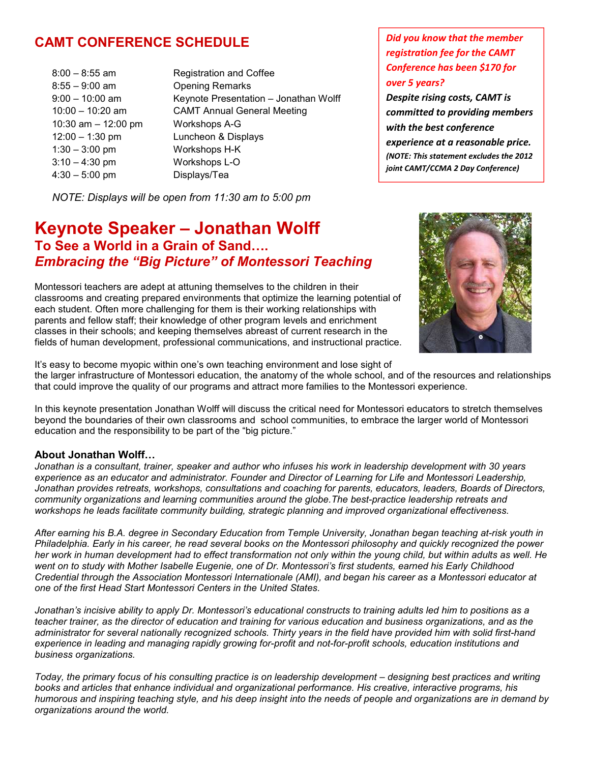## **CAMT CONFERENCE SCHEDULE**

- 8:55 9:00 am Opening Remarks 10:30 am – 12:00 pm Workshops A-G 12:00 – 1:30 pm Luncheon & Displays 1:30 – 3:00 pm Workshops H-K 3:10 – 4:30 pm Workshops L-O 4:30 – 5:00 pm Displays/Tea
- 8:00 8:55 am Registration and Coffee 9:00 – 10:00 am Keynote Presentation – Jonathan Wolff 10:00 – 10:20 am CAMT Annual General Meeting

*NOTE: Displays will be open from 11:30 am to 5:00 pm*

## **Keynote Speaker – Jonathan Wolff To See a World in a Grain of Sand….** *Embracing the "Big Picture" of Montessori Teaching*

Montessori teachers are adept at attuning themselves to the children in their classrooms and creating prepared environments that optimize the learning potential of each student. Often more challenging for them is their working relationships with parents and fellow staff; their knowledge of other program levels and enrichment classes in their schools; and keeping themselves abreast of current research in the fields of human development, professional communications, and instructional practice.

It's easy to become myopic within one's own teaching environment and lose sight of the larger infrastructure of Montessori education, the anatomy of the whole school, and of the resources and relationships that could improve the quality of our programs and attract more families to the Montessori experience.

In this keynote presentation Jonathan Wolff will discuss the critical need for Montessori educators to stretch themselves beyond the boundaries of their own classrooms and school communities, to embrace the larger world of Montessori education and the responsibility to be part of the "big picture."

## **About Jonathan Wolff…**

*Jonathan is a consultant, trainer, speaker and author who infuses his work in leadership development with 30 years experience as an educator and administrator. Founder and Director of Learning for Life and Montessori Leadership, Jonathan provides retreats, workshops, consultations and coaching for parents, educators, leaders, Boards of Directors, community organizations and learning communities around the globe.The best-practice leadership retreats and workshops he leads facilitate community building, strategic planning and improved organizational effectiveness.*

*After earning his B.A. degree in Secondary Education from Temple University, Jonathan began teaching at-risk youth in Philadelphia. Early in his career, he read several books on the Montessori philosophy and quickly recognized the power her work in human development had to effect transformation not only within the young child, but within adults as well. He went on to study with Mother Isabelle Eugenie, one of Dr. Montessori's first students, earned his Early Childhood Credential through the Association Montessori Internationale (AMI), and began his career as a Montessori educator at one of the first Head Start Montessori Centers in the United States.*

*Jonathan's incisive ability to apply Dr. Montessori's educational constructs to training adults led him to positions as a teacher trainer, as the director of education and training for various education and business organizations, and as the administrator for several nationally recognized schools. Thirty years in the field have provided him with solid first-hand experience in leading and managing rapidly growing for-profit and not-for-profit schools, education institutions and business organizations.*

*Today, the primary focus of his consulting practice is on leadership development – designing best practices and writing books and articles that enhance individual and organizational performance. His creative, interactive programs, his humorous and inspiring teaching style, and his deep insight into the needs of people and organizations are in demand by organizations around the world.*

*experience at a reasonable price. (NOTE: This statement excludes the 2012 joint CAMT/CCMA 2 Day Conference)*

*Did you know that the member registration fee for the CAMT Conference has been \$170 for*

*Despite rising costs, CAMT is committed to providing members*

*with the best conference*

*over 5 years?*

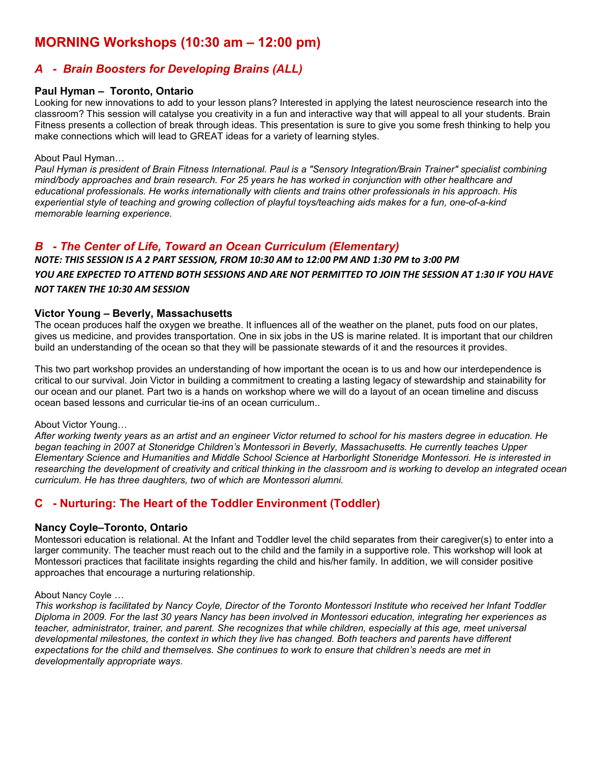## **MORNING Workshops (10:30 am – 12:00 pm)**

## *A - Brain Boosters for Developing Brains (ALL)*

#### **Paul Hyman – Toronto, Ontario**

Looking for new innovations to add to your lesson plans? Interested in applying the latest neuroscience research into the classroom? This session will catalyse you creativity in a fun and interactive way that will appeal to all your students. Brain Fitness presents a collection of break through ideas. This presentation is sure to give you some fresh thinking to help you make connections which will lead to GREAT ideas for a variety of learning styles.

#### About Paul Hyman…

*Paul Hyman is president of Brain Fitness International. Paul is a "Sensory Integration/Brain Trainer" specialist combining mind/body approaches and brain research. For 25 years he has worked in conjunction with other healthcare and educational professionals. He works internationally with clients and trains other professionals in his approach. His experiential style of teaching and growing collection of playful toys/teaching aids makes for a fun, one-of-a-kind memorable learning experience.*

## *B - The Center of Life, Toward an Ocean Curriculum (Elementary)*

## *NOTE: THIS SESSION IS A 2 PART SESSION, FROM 10:30 AM to 12:00 PM AND 1:30 PM to 3:00 PM YOU ARE EXPECTED TO ATTEND BOTH SESSIONS AND ARE NOT PERMITTED TO JOIN THE SESSION AT 1:30 IF YOU HAVE NOT TAKEN THE 10:30 AM SESSION*

#### **Victor Young – Beverly, Massachusetts**

The ocean produces half the oxygen we breathe. It influences all of the weather on the planet, puts food on our plates, gives us medicine, and provides transportation. One in six jobs in the US is marine related. It is important that our children build an understanding of the ocean so that they will be passionate stewards of it and the resources it provides.

This two part workshop provides an understanding of how important the ocean is to us and how our interdependence is critical to our survival. Join Victor in building a commitment to creating a lasting legacy of stewardship and stainability for our ocean and our planet. Part two is a hands on workshop where we will do a layout of an ocean timeline and discuss ocean based lessons and curricular tie-ins of an ocean curriculum..

#### About Victor Young…

*After working twenty years as an artist and an engineer Victor returned to school for his masters degree in education. He began teaching in 2007 at Stoneridge Children's Montessori in Beverly, Massachusetts. He currently teaches Upper Elementary Science and Humanities and Middle School Science at Harborlight Stoneridge Montessori. He is interested in researching the development of creativity and critical thinking in the classroom and is working to develop an integrated ocean curriculum. He has three daughters, two of which are Montessori alumni.*

## **C - Nurturing: The Heart of the Toddler Environment (Toddler)**

#### **Nancy Coyle–Toronto, Ontario**

Montessori education is relational. At the Infant and Toddler level the child separates from their caregiver(s) to enter into a larger community. The teacher must reach out to the child and the family in a supportive role. This workshop will look at Montessori practices that facilitate insights regarding the child and his/her family. In addition, we will consider positive approaches that encourage a nurturing relationship.

#### About Nancy Coyle …

*This workshop is facilitated by Nancy Coyle, Director of the Toronto Montessori Institute who received her Infant Toddler Diploma in 2009. For the last 30 years Nancy has been involved in Montessori education, integrating her experiences as teacher, administrator, trainer, and parent. She recognizes that while children, especially at this age, meet universal developmental milestones, the context in which they live has changed. Both teachers and parents have different expectations for the child and themselves. She continues to work to ensure that children's needs are met in developmentally appropriate ways.*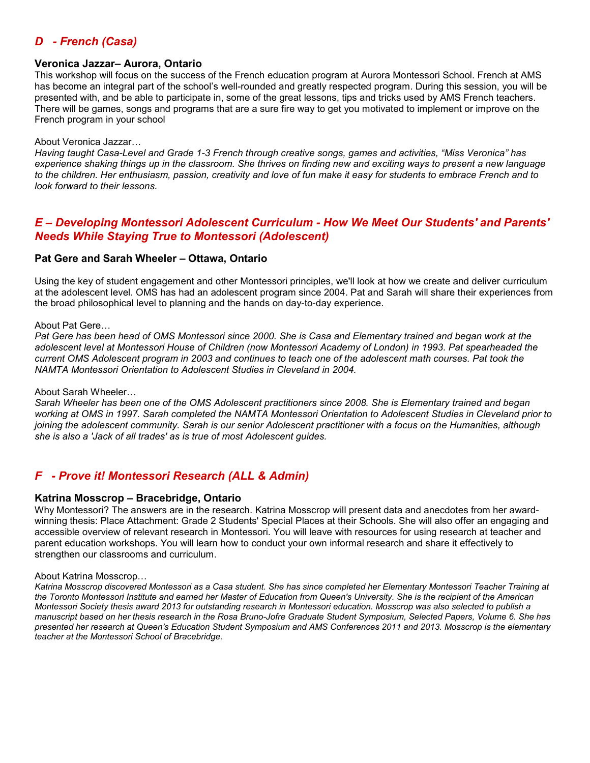## *D - French (Casa)*

#### **Veronica Jazzar– Aurora, Ontario**

This workshop will focus on the success of the French education program at Aurora Montessori School. French at AMS has become an integral part of the school's well-rounded and greatly respected program. During this session, you will be presented with, and be able to participate in, some of the great lessons, tips and tricks used by AMS French teachers. There will be games, songs and programs that are a sure fire way to get you motivated to implement or improve on the French program in your school

#### About Veronica Jazzar…

*Having taught Casa-Level and Grade 1-3 French through creative songs, games and activities, "Miss Veronica" has experience shaking things up in the classroom. She thrives on finding new and exciting ways to present a new language to the children. Her enthusiasm, passion, creativity and love of fun make it easy for students to embrace French and to look forward to their lessons.*

## *E – Developing Montessori Adolescent Curriculum - How We Meet Our Students' and Parents' Needs While Staying True to Montessori (Adolescent)*

#### **Pat Gere and Sarah Wheeler – Ottawa, Ontario**

Using the key of student engagement and other Montessori principles, we'll look at how we create and deliver curriculum at the adolescent level. OMS has had an adolescent program since 2004. Pat and Sarah will share their experiences from the broad philosophical level to planning and the hands on day-to-day experience.

#### About Pat Gere…

*Pat Gere has been head of OMS Montessori since 2000. She is Casa and Elementary trained and began work at the adolescent level at Montessori House of Children (now Montessori Academy of London) in 1993. Pat spearheaded the current OMS Adolescent program in 2003 and continues to teach one of the adolescent math courses. Pat took the NAMTA Montessori Orientation to Adolescent Studies in Cleveland in 2004.*

#### About Sarah Wheeler…

*Sarah Wheeler has been one of the OMS Adolescent practitioners since 2008. She is Elementary trained and began working at OMS in 1997. Sarah completed the NAMTA Montessori Orientation to Adolescent Studies in Cleveland prior to joining the adolescent community. Sarah is our senior Adolescent practitioner with a focus on the Humanities, although she is also a 'Jack of all trades' as is true of most Adolescent guides.*

## *F - Prove it! Montessori Research (ALL & Admin)*

#### **Katrina Mosscrop – Bracebridge, Ontario**

Why Montessori? The answers are in the research. Katrina Mosscrop will present data and anecdotes from her awardwinning thesis: Place Attachment: Grade 2 Students' Special Places at their Schools. She will also offer an engaging and accessible overview of relevant research in Montessori. You will leave with resources for using research at teacher and parent education workshops. You will learn how to conduct your own informal research and share it effectively to strengthen our classrooms and curriculum.

#### About Katrina Mosscrop…

*Katrina Mosscrop discovered Montessori as a Casa student. She has since completed her Elementary Montessori Teacher Training at the Toronto Montessori Institute and earned her Master of Education from Queen's University. She is the recipient of the American Montessori Society thesis award 2013 for outstanding research in Montessori education. Mosscrop was also selected to publish a manuscript based on her thesis research in the Rosa Bruno-Jofre Graduate Student Symposium, Selected Papers, Volume 6. She has presented her research at Queen's Education Student Symposium and AMS Conferences 2011 and 2013. Mosscrop is the elementary teacher at the Montessori School of Bracebridge.*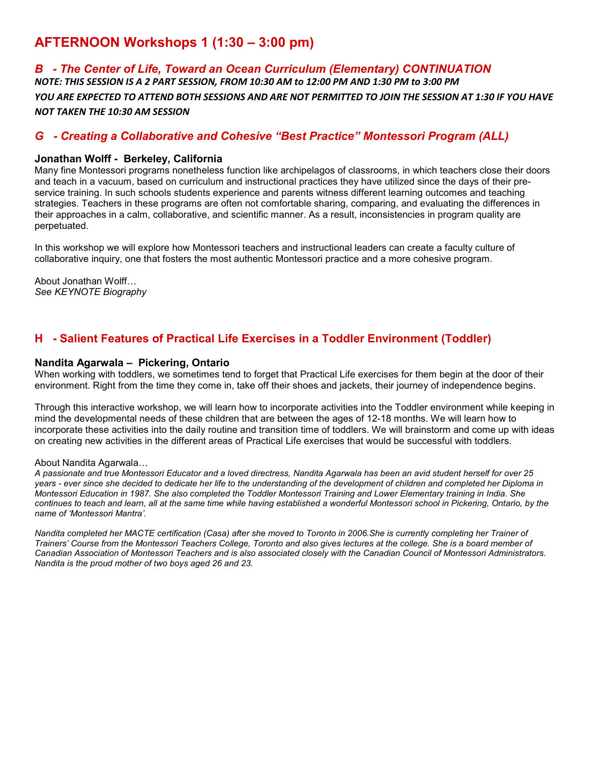## **AFTERNOON Workshops 1 (1:30 – 3:00 pm)**

## *B - The Center of Life, Toward an Ocean Curriculum (Elementary) CONTINUATION NOTE: THIS SESSION IS A 2 PART SESSION, FROM 10:30 AM to 12:00 PM AND 1:30 PM to 3:00 PM YOU ARE EXPECTED TO ATTEND BOTH SESSIONS AND ARE NOT PERMITTED TO JOIN THE SESSION AT 1:30 IF YOU HAVE NOT TAKEN THE 10:30 AM SESSION*

## *G - Creating a Collaborative and Cohesive "Best Practice" Montessori Program (ALL)*

### **Jonathan Wolff - Berkeley, California**

Many fine Montessori programs nonetheless function like archipelagos of classrooms, in which teachers close their doors and teach in a vacuum, based on curriculum and instructional practices they have utilized since the days of their preservice training. In such schools students experience and parents witness different learning outcomes and teaching strategies. Teachers in these programs are often not comfortable sharing, comparing, and evaluating the differences in their approaches in a calm, collaborative, and scientific manner. As a result, inconsistencies in program quality are perpetuated.

In this workshop we will explore how Montessori teachers and instructional leaders can create a faculty culture of collaborative inquiry, one that fosters the most authentic Montessori practice and a more cohesive program.

About Jonathan Wolff… *See KEYNOTE Biography*

## **H - Salient Features of Practical Life Exercises in a Toddler Environment (Toddler)**

#### **Nandita Agarwala – Pickering, Ontario**

When working with toddlers, we sometimes tend to forget that Practical Life exercises for them begin at the door of their environment. Right from the time they come in, take off their shoes and jackets, their journey of independence begins.

Through this interactive workshop, we will learn how to incorporate activities into the Toddler environment while keeping in mind the developmental needs of these children that are between the ages of 12-18 months. We will learn how to incorporate these activities into the daily routine and transition time of toddlers. We will brainstorm and come up with ideas on creating new activities in the different areas of Practical Life exercises that would be successful with toddlers.

#### About Nandita Agarwala…

*A passionate and true Montessori Educator and a loved directress, Nandita Agarwala has been an avid student herself for over 25 years - ever since she decided to dedicate her life to the understanding of the development of children and completed her Diploma in Montessori Education in 1987. She also completed the Toddler Montessori Training and Lower Elementary training in India. She continues to teach and learn, all at the same time while having established a wonderful Montessori school in Pickering, Ontario, by the name of 'Montessori Mantra'.*

*Nandita completed her MACTE certification (Casa) after she moved to Toronto in 2006.She is currently completing her Trainer of Trainers' Course from the Montessori Teachers College, Toronto and also gives lectures at the college. She is a board member of Canadian Association of Montessori Teachers and is also associated closely with the Canadian Council of Montessori Administrators. Nandita is the proud mother of two boys aged 26 and 23.*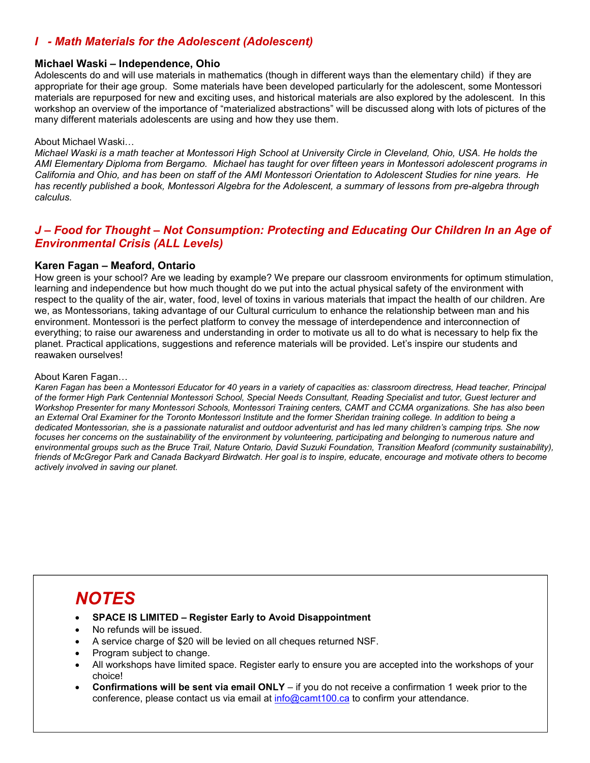## *I - Math Materials for the Adolescent (Adolescent)*

#### **Michael Waski – Independence, Ohio**

Adolescents do and will use materials in mathematics (though in different ways than the elementary child) if they are appropriate for their age group. Some materials have been developed particularly for the adolescent, some Montessori materials are repurposed for new and exciting uses, and historical materials are also explored by the adolescent. In this workshop an overview of the importance of "materialized abstractions" will be discussed along with lots of pictures of the many different materials adolescents are using and how they use them.

#### About Michael Waski…

*Michael Waski is a math teacher at Montessori High School at University Circle in Cleveland, Ohio, USA. He holds the AMI Elementary Diploma from Bergamo. Michael has taught for over fifteen years in Montessori adolescent programs in California and Ohio, and has been on staff of the AMI Montessori Orientation to Adolescent Studies for nine years. He has recently published a book, Montessori Algebra for the Adolescent, a summary of lessons from pre-algebra through calculus.*

## *J – Food for Thought – Not Consumption: Protecting and Educating Our Children In an Age of Environmental Crisis (ALL Levels)*

#### **Karen Fagan – Meaford, Ontario**

How green is your school? Are we leading by example? We prepare our classroom environments for optimum stimulation, learning and independence but how much thought do we put into the actual physical safety of the environment with respect to the quality of the air, water, food, level of toxins in various materials that impact the health of our children. Are we, as Montessorians, taking advantage of our Cultural curriculum to enhance the relationship between man and his environment. Montessori is the perfect platform to convey the message of interdependence and interconnection of everything; to raise our awareness and understanding in order to motivate us all to do what is necessary to help fix the planet. Practical applications, suggestions and reference materials will be provided. Let's inspire our students and reawaken ourselves!

#### About Karen Fagan…

*Karen Fagan has been a Montessori Educator for 40 years in a variety of capacities as: classroom directress, Head teacher, Principal of the former High Park Centennial Montessori School, Special Needs Consultant, Reading Specialist and tutor, Guest lecturer and Workshop Presenter for many Montessori Schools, Montessori Training centers, CAMT and CCMA organizations. She has also been an External Oral Examiner for the Toronto Montessori Institute and the former Sheridan training college. In addition to being a dedicated Montessorian, she is a passionate naturalist and outdoor adventurist and has led many children's camping trips. She now focuses her concerns on the sustainability of the environment by volunteering, participating and belonging to numerous nature and environmental groups such as the Bruce Trail, Nature Ontario, David Suzuki Foundation, Transition Meaford (community sustainability), friends of McGregor Park and Canada Backyard Birdwatch. Her goal is to inspire, educate, encourage and motivate others to become actively involved in saving our planet.*

# *NOTES*

- **SPACE IS LIMITED Register Early to Avoid Disappointment**
- No refunds will be issued.
- A service charge of \$20 will be levied on all cheques returned NSF.
- Program subject to change.
- All workshops have limited space. Register early to ensure you are accepted into the workshops of your choice!
- **Confirmations will be sent via email ONLY** if you do not receive a confirmation 1 week prior to the conference, please contact us via email at info@camt100.ca to confirm your attendance.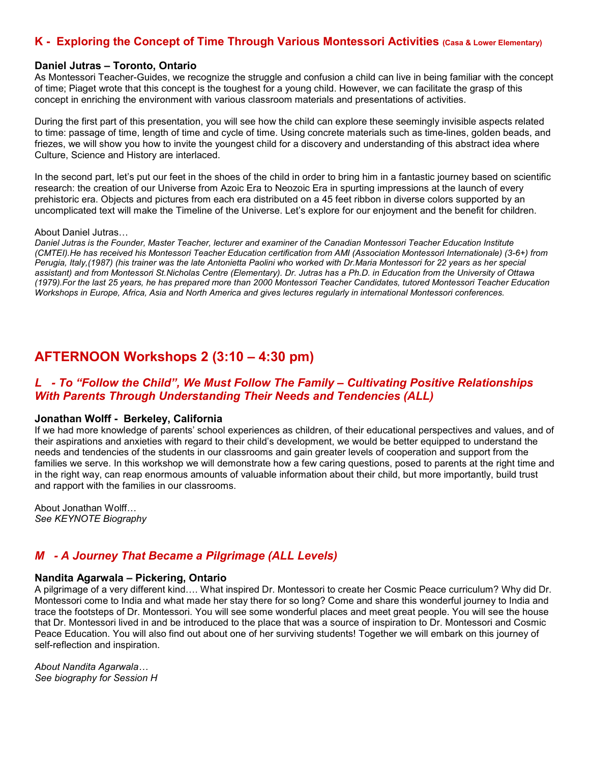## **K - Exploring the Concept of Time Through Various Montessori Activities (Casa & Lower Elementary)**

#### **Daniel Jutras – Toronto, Ontario**

As Montessori Teacher-Guides, we recognize the struggle and confusion a child can live in being familiar with the concept of time; Piaget wrote that this concept is the toughest for a young child. However, we can facilitate the grasp of this concept in enriching the environment with various classroom materials and presentations of activities.

During the first part of this presentation, you will see how the child can explore these seemingly invisible aspects related to time: passage of time, length of time and cycle of time. Using concrete materials such as time-lines, golden beads, and friezes, we will show you how to invite the youngest child for a discovery and understanding of this abstract idea where Culture, Science and History are interlaced.

In the second part, let's put our feet in the shoes of the child in order to bring him in a fantastic journey based on scientific research: the creation of our Universe from Azoic Era to Neozoic Era in spurting impressions at the launch of every prehistoric era. Objects and pictures from each era distributed on a 45 feet ribbon in diverse colors supported by an uncomplicated text will make the Timeline of the Universe. Let's explore for our enjoyment and the benefit for children.

#### About Daniel Jutras…

*Daniel Jutras is the Founder, Master Teacher, lecturer and examiner of the Canadian Montessori Teacher Education Institute (CMTEI).He has received his Montessori Teacher Education certification from AMI (Association Montessori Internationale) (3-6+) from Perugia, Italy,(1987) (his trainer was the late Antonietta Paolini who worked with Dr.Maria Montessori for 22 years as her special assistant) and from Montessori St.Nicholas Centre (Elementary). Dr. Jutras has a Ph.D. in Education from the University of Ottawa (1979).For the last 25 years, he has prepared more than 2000 Montessori Teacher Candidates, tutored Montessori Teacher Education Workshops in Europe, Africa, Asia and North America and gives lectures regularly in international Montessori conferences.*

## **AFTERNOON Workshops 2 (3:10 – 4:30 pm)**

## *L - To "Follow the Child", We Must Follow The Family – Cultivating Positive Relationships With Parents Through Understanding Their Needs and Tendencies (ALL)*

#### **Jonathan Wolff - Berkeley, California**

If we had more knowledge of parents' school experiences as children, of their educational perspectives and values, and of their aspirations and anxieties with regard to their child's development, we would be better equipped to understand the needs and tendencies of the students in our classrooms and gain greater levels of cooperation and support from the families we serve. In this workshop we will demonstrate how a few caring questions, posed to parents at the right time and in the right way, can reap enormous amounts of valuable information about their child, but more importantly, build trust and rapport with the families in our classrooms.

About Jonathan Wolff… *See KEYNOTE Biography*

## *M - A Journey That Became a Pilgrimage (ALL Levels)*

#### **Nandita Agarwala – Pickering, Ontario**

A pilgrimage of a very different kind…. What inspired Dr. Montessori to create her Cosmic Peace curriculum? Why did Dr. Montessori come to India and what made her stay there for so long? Come and share this wonderful journey to India and trace the footsteps of Dr. Montessori. You will see some wonderful places and meet great people. You will see the house that Dr. Montessori lived in and be introduced to the place that was a source of inspiration to Dr. Montessori and Cosmic Peace Education. You will also find out about one of her surviving students! Together we will embark on this journey of self-reflection and inspiration.

*About Nandita Agarwala… See biography for Session H*